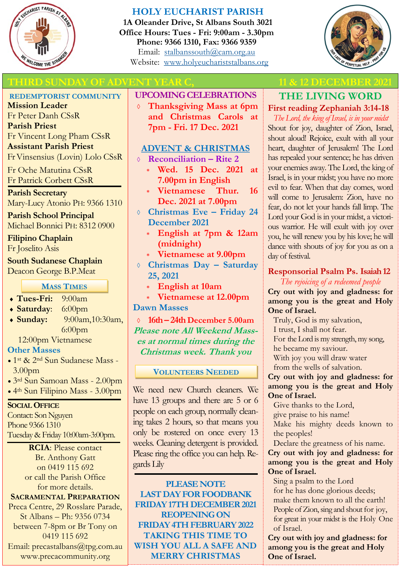

# **HOLY EUCHARIST PARISH**

**1A Oleander Drive, St Albans South 3021 Office Hours: Tues - Fri: 9:00am - 3.30pm Phone: 9366 1310, Fax: 9366 9359** Email: [stalbanssouth@cam.org.au](mailto:stalbanssouth@cam.org.au) Website:[www.holyeuchariststalbans.org](http://www.holyeuchariststalbans.org)



# **THIRD SUNDAY OF ADVENT YEAR C, THIRD SUNDAY OF ADVENT YEAR C, THIRD 30 11 & 12 DECEMBER 20**

#### **REDEMPTORIST COMMUNITY**

**Mission Leader** Fr Peter Danh CSsR **Parish Priest** Fr Vincent Long Pham CSsR **Assistant Parish Priest** 

Fr Vinsensius (Lovin) Lolo CSsR

Fr Oche Matutina CSsR Fr Patrick Corbett CSsR

**Parish Secretary**

Mary-Lucy Atonio PH: 9366 1310 **Parish School Principal**

Michael Bonnici PH: 8312 0900

**Filipino Chaplain**

Fr Joselito Asis

**South Sudanese Chaplain**

Deacon George B.P.Meat

**MASS TIMES**

- **Tues-Fri:** 9:00am
- **Saturday**: 6:00pm
- **Sunday:** 9:00am,10:30am, 6:00pm

12:00pm Vietnamese

## **Other Masses**

- 1<sup>st</sup> & 2<sup>nd</sup> Sun Sudanese Mass -3.00pm
- 3rd Sun Samoan Mass 2.00pm
- 4th Sun Filipino Mass 3.00pm

**SOCIAL OFFICE**

Contact: Son Nguyen Phone 9366 1310 Tuesday & Friday 10:00am-3:00pm.

**RCIA**: Please contact Br. Anthony Gatt on 0419 115 692 or call the Parish Office for more details. **SACRAMENTAL PREPARATION**

Preca Centre, 29 Rosslare Parade, St Albans – Ph: 9356 0734 between 7-8pm or Br Tony on 0419 115 692 Email: precastalbans@tpg.com.au www.precacommunity.org

## **UPCOMING CELEBRATIONS Thanksgiving Mass at 6pm**

**and Christmas Carols at 7pm - Fri. 17 Dec. 2021**

## **ADVENT & CHRISTMAS**

**Reconciliation – Rite 2** 

- **Wed. 15 Dec. 2021 at 7.00pm in English**
- **Vietnamese Thur. 16 Dec. 2021 at 7.00pm**
- **Christmas Eve – Friday 24 December 2021** 
	- **English at 7pm & 12am (midnight)**
	- **Vietnamese at 9.00pm**
- **Christmas Day – Saturday 25, 2021**
	- **English at 10am**

 **Vietnamese at 12.00pm Dawn Masses** 

 **16th – 24th December 5.00am Please note All Weekend Masses at normal times during the Christmas week. Thank you**

## **VOLUNTEERS NEEDED**

We need new Church cleaners. We have 13 groups and there are 5 or 6 people on each group, normally cleaning takes 2 hours, so that means you only be rostered on once every 13 weeks. Cleaning detergent is provided. Please ring the office you can help. Regards Lily

**PLEASE NOTE LAST DAY FOR FOODBANK FRIDAY 17TH DECEMBER 2021 REOPENING ON FRIDAY 4TH FEBRUARY 2022 TAKING THIS TIME TO WISH YOU ALL A SAFE AND MERRY CHRISTMAS**

## **THE LIVING WORD First reading Zephaniah 3:14-18**

*The Lord, the king of Israel, is in your midst* Shout for joy, daughter of Zion, Israel, shout aloud! Rejoice, exult with all your heart, daughter of Jerusalem! The Lord has repealed your sentence; he has driven your enemies away. The Lord, the king of Israel, is in your midst; you have no more evil to fear. When that day comes, word will come to Jerusalem: Zion, have no fear, do not let your hands fall limp. The Lord your God is in your midst, a victorious warrior. He will exult with joy over you, he will renew you by his love; he will dance with shouts of joy for you as on a day of festival.

## **Responsorial Psalm Ps. Isaiah 12** *The rejoicing of a redeemed people*

**Cry out with joy and gladness: for among you is the great and Holy One of Israel.**

Truly, God is my salvation,

I trust, I shall not fear.

For the Lord is my strength, my song,

he became my saviour.

With joy you will draw water

from the wells of salvation.

**Cry out with joy and gladness: for among you is the great and Holy One of Israel.**

Give thanks to the Lord, give praise to his name!

Make his mighty deeds known to the peoples!

Declare the greatness of his name. **Cry out with joy and gladness: for among you is the great and Holy One of Israel.**

Sing a psalm to the Lord for he has done glorious deeds; make them known to all the earth! People of Zion, sing and shout for joy, for great in your midst is the Holy One of Israel.

**Cry out with joy and gladness: for among you is the great and Holy One of Israel.**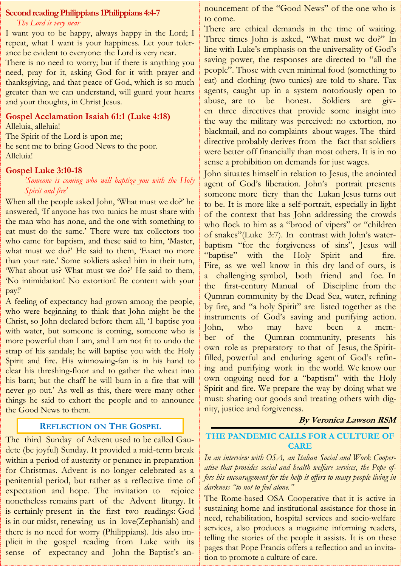#### **Second reading Philippians 1Philippians 4:4-7** *The Lord is very near*

I want you to be happy, always happy in the Lord; I repeat, what I want is your happiness. Let your tolerance be evident to everyone: the Lord is very near.

There is no need to worry; but if there is anything you need, pray for it, asking God for it with prayer and thanksgiving, and that peace of God, which is so much greater than we can understand, will guard your hearts and your thoughts, in Christ Jesus.

## **Gospel Acclamation Isaiah 61:1 (Luke 4:18)**

Alleluia, alleluia! The Spirit of the Lord is upon me; he sent me to bring Good News to the poor. Alleluia!

## **Gospel Luke 3:10-18**

*'Someone is coming who will baptize you with the Holy Spirit and fire'*

When all the people asked John, 'What must we do?' he answered, 'If anyone has two tunics he must share with the man who has none, and the one with something to eat must do the same.' There were tax collectors too who came for baptism, and these said to him, 'Master, what must we do?' He said to them, 'Exact no more than your rate.' Some soldiers asked him in their turn, 'What about us? What must we do?' He said to them, 'No intimidation! No extortion! Be content with your pay!'

A feeling of expectancy had grown among the people, who were beginning to think that John might be the Christ, so John declared before them all, 'I baptise you with water, but someone is coming, someone who is more powerful than I am, and I am not fit to undo the strap of his sandals; he will baptise you with the Holy Spirit and fire. His winnowing-fan is in his hand to clear his threshing-floor and to gather the wheat into his barn; but the chaff he will burn in a fire that will never go out.' As well as this, there were many other things he said to exhort the people and to announce the Good News to them.

## **REFLECTION ON THE GOSPEL**

The third Sunday of Advent used to be called Gaudete (be joyful) Sunday. It provided a mid-term break within a period of austerity or penance in preparation for Christmas. Advent is no longer celebrated as a penitential period, but rather as a reflective time of expectation and hope. The invitation to rejoice nonetheless remains part of the Advent liturgy. It is certainly present in the first two readings: God is in our midst, renewing us in love(Zephaniah) and there is no need for worry (Philippians). Itis also implicit in the gospel reading from Luke with its sense of expectancy and John the Baptist's announcement of the "Good News" of the one who is to come.

There are ethical demands in the time of waiting. Three times John is asked, "What must we do?" In line with Luke's emphasis on the universality of God's saving power, the responses are directed to "all the people". Those with even minimal food (something to eat) and clothing (two tunics) are told to share. Tax agents, caught up in a system notoriously open to abuse, are to be honest. Soldiers are given three directives that provide some insight into the way the military was perceived: no extortion, no blackmail, and no complaints about wages. The third directive probably derives from the fact that soldiers were better off financially than most others. It is in no sense a prohibition on demands for just wages.

John situates himself in relation to Jesus, the anointed agent of God's liberation. John's portrait presents someone more fiery than the Lukan Jesus turns out to be. It is more like a self-portrait, especially in light of the context that has John addressing the crowds who flock to him as a "brood of vipers" or "children of snakes"(Luke 3:7). In contrast with John's waterbaptism "for the forgiveness of sins", Jesus will "baptise" with the Holy Spirit and fire. Fire, as we well know in this dry land of ours, is a challenging symbol, both friend and foe. In the first-century Manual of Discipline from the Qumran community by the Dead Sea, water, refining by fire, and "a holy Spirit" are listed together as the instruments of God's saving and purifying action. John, who may have been a member of the Qumran community, presents his own role as preparatory to that of Jesus, the Spiritfilled, powerful and enduring agent of God's refining and purifying work in the world. We know our own ongoing need for a "baptism" with the Holy Spirit and fire. We prepare the way by doing what we must: sharing our goods and treating others with dignity, justice and forgiveness.

#### **By Veronica Lawson RSM**

#### **THE PANDEMIC CALLS FOR A CULTURE OF CARE**

*In an interview with OSA, an Italian Social and Work Cooperative that provides social and health welfare services, the Pope offers his encouragement for the help it offers to many people living in darkness "to not to feel alone."*

The Rome-based OSA Cooperative that it is active in sustaining home and institutional assistance for those in need, rehabilitation, hospital services and socio-welfare services, also produces a magazine informing readers, telling the stories of the people it assists. It is on these pages that Pope Francis offers a reflection and an invitation to promote a culture of care.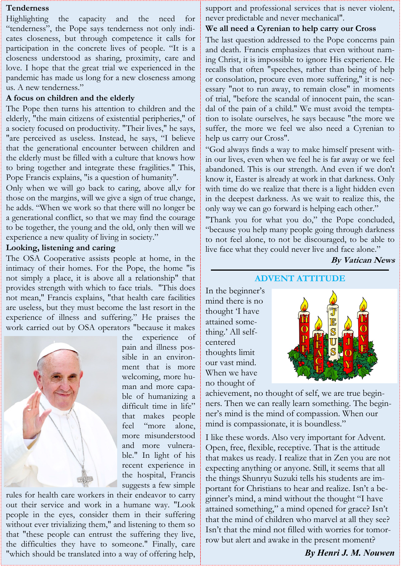#### **Tenderness**

Highlighting the capacity and the need for "tenderness", the Pope says tenderness not only indicates closeness, but through competence it calls for participation in the concrete lives of people. "It is a closeness understood as sharing, proximity, care and love. I hope that the great trial we experienced in the pandemic has made us long for a new closeness among us. A new tenderness."

#### **A focus on children and the elderly**

The Pope then turns his attention to children and the elderly, "the main citizens of existential peripheries," of a society focused on productivity. "Their lives," he says, "are perceived as useless. Instead, he says, "I believe that the generational encounter between children and the elderly must be filled with a culture that knows how to bring together and integrate these fragilities." This, Pope Francis explains, "is a question of humanity".

Only when we will go back to caring, above all,v for those on the margins, will we give a sign of true change, he adds. "When we work so that there will no longer be a generational conflict, so that we may find the courage to be together, the young and the old, only then will we experience a new quality of living in society."

#### **Looking, listening and caring**

The OSA Cooperative assists people at home, in the intimacy of their homes. For the Pope, the home "is not simply a place, it is above all a relationship" that provides strength with which to face trials. "This does not mean," Francis explains, "that health care facilities are useless, but they must become the last resort in the experience of illness and suffering." He praises the work carried out by OSA operators "because it makes



the experience of pain and illness possible in an environment that is more welcoming, more human and more capable of humanizing a difficult time in life" that makes people feel "more alone, more misunderstood and more vulnerable." In light of his recent experience in the hospital, Francis suggests a few simple

rules for health care workers in their endeavor to carry out their service and work in a humane way. "Look people in the eyes, consider them in their suffering without ever trivializing them," and listening to them so that "these people can entrust the suffering they live, the difficulties they have to someone." Finally, care "which should be translated into a way of offering help, support and professional services that is never violent, never predictable and never mechanical".

#### **We all need a Cyrenian to help carry our Cross**

The last question addressed to the Pope concerns pain and death. Francis emphasizes that even without naming Christ, it is impossible to ignore His experience. He recalls that often "speeches, rather than being of help or consolation, procure even more suffering," it is necessary "not to run away, to remain close" in moments of trial, "before the scandal of innocent pain, the scandal of the pain of a child." We must avoid the temptation to isolate ourselves, he says because "the more we suffer, the more we feel we also need a Cyrenian to help us carry our Cross".

"God always finds a way to make himself present within our lives, even when we feel he is far away or we feel abandoned. This is our strength. And even if we don't know it, Easter is already at work in that darkness. Only with time do we realize that there is a light hidden even in the deepest darkness. As we wait to realize this, the only way we can go forward is helping each other."

"Thank you for what you do," the Pope concluded, "because you help many people going through darkness to not feel alone, to not be discouraged, to be able to live face what they could never live and face alone."

**By Vatican News**

### **ADVENT ATTITUDE**

In the beginner's mind there is no thought 'I have attained something.' All selfcentered thoughts limit our vast mind. When we have no thought of



achievement, no thought of self, we are true beginners. Then we can really learn something. The beginner's mind is the mind of compassion. When our mind is compassionate, it is boundless."

I like these words. Also very important for Advent. Open, free, flexible, receptive. That is the attitude that makes us ready. I realize that in Zen you are not expecting anything or anyone. Still, it seems that all the things Shunryu Suzuki tells his students are important for Christians to hear and realize. Isn't a beginner's mind, a mind without the thought "I have attained something," a mind opened for grace? Isn't that the mind of children who marvel at all they see? Isn't that the mind not filled with worries for tomorrow but alert and awake in the present moment?